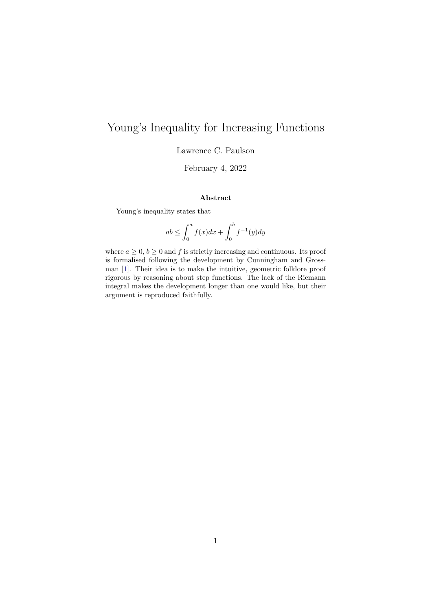# Young's Inequality for Increasing Functions

Lawrence C. Paulson

February 4, 2022

#### **Abstract**

Young's inequality states that

$$
ab \le \int_0^a f(x)dx + \int_0^b f^{-1}(y)dy
$$

where  $a \geq 0, b \geq 0$  and f is strictly increasing and continuous. Its proof is formalised following the development by Cunningham and Grossman [\[1\]](#page-5-0). Their idea is to make the intuitive, geometric folklore proof rigorous by reasoning about step functions. The lack of the Riemann integral makes the development longer than one would like, but their argument is reproduced faithfully.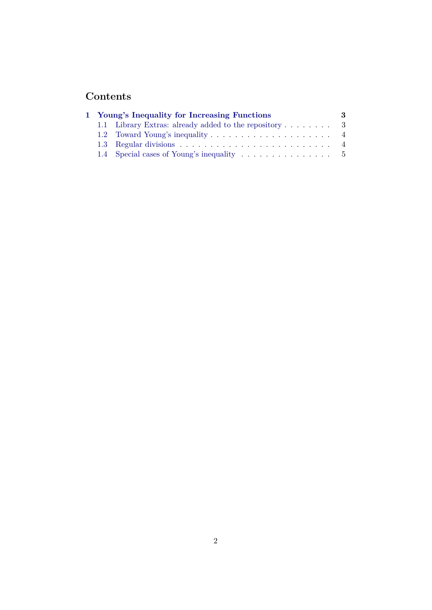## **Contents**

|  | 1 Young's Inequality for Increasing Functions         | 3. |
|--|-------------------------------------------------------|----|
|  | 1.1 Library Extras: already added to the repository 3 |    |
|  |                                                       |    |
|  |                                                       |    |
|  | 1.4 Special cases of Young's inequality 5             |    |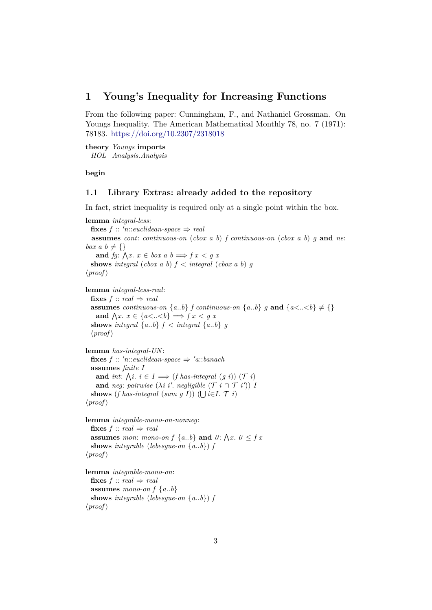## <span id="page-2-0"></span>**1 Young's Inequality for Increasing Functions**

From the following paper: Cunningham, F., and Nathaniel Grossman. On Youngs Inequality. The American Mathematical Monthly 78, no. 7 (1971): 78183. <https://doi.org/10.2307/2318018>

**theory** *Youngs* **imports** *HOL*−*Analysis*.*Analysis*

**begin**

#### <span id="page-2-1"></span>**1.1 Library Extras: already added to the repository**

In fact, strict inequality is required only at a single point within the box.

**lemma** *integral-less*: **fixes**  $f :: 'n::euclidean-space \Rightarrow real$ **assumes** *cont*: *continuous-on* (*cbox a b*) *f continuous-on* (*cbox a b*) *g* **and** *ne*: *box a b*  $\neq$  {} **and** *fg*:  $\bigwedge x \cdot x \in box \ a \ b \Longrightarrow f \ x \lt g \ x$ **shows** *integral* (*cbox a b*)  $f <$  *integral* (*cbox a b*)  $g$  $\langle proof \rangle$ **lemma** *integral-less-real*: **fixes**  $f$  :: *real*  $\Rightarrow$  *real* **assumes** *continuous-on*  $\{a,b\}$  *f continuous-on*  $\{a,b\}$  *g* **and**  $\{a\leq b\} \neq \{\}$ **and**  $\bigwedge x \cdot x \in \{a < . . < b\} \Longrightarrow f \cdot x < g \cdot x$ **shows** integral  $\{a,b\}$   $f \prec$  integral  $\{a,b\}$  *g*  $\langle proof \rangle$ **lemma** *has-integral-UN*: **fixes**  $f :: 'n::euclidean-space \Rightarrow 'a::banach$ **assumes** *finite I* **and** *int*:  $\bigwedge i$ .  $i \in I \Longrightarrow (f\ has\ integral\ (g\ i))$  (*T i*) **and** *neg*: *pairwise*  $(\lambda i \ i'. \ negligible \ (\mathcal{T} \ i \cap \mathcal{T} \ i'))$  *I* **shows** (*f has-integral* (*sum g I*)) ( $\bigcup i \in I$ .  $\mathcal{T}$ *i*)  $\langle proof \rangle$ **lemma** *integrable-mono-on-nonneg*: **fixes**  $f$  :: *real*  $\Rightarrow$  *real* **assumes** mon: mono-on  $f \{a..b\}$  and  $0: \bigwedge x$ .  $0 \leq f x$ **shows** *integrable* (*lebesgue-on* {*a*..*b*}) *f*  $\langle proof \rangle$ **lemma** *integrable-mono-on*: **fixes**  $f$  :: *real*  $\Rightarrow$  *real* **assumes** *mono-on*  $f \{a,b\}$ **shows** *integrable* (*lebesgue-on* {*a*..*b*}) *f*  $\langle proof \rangle$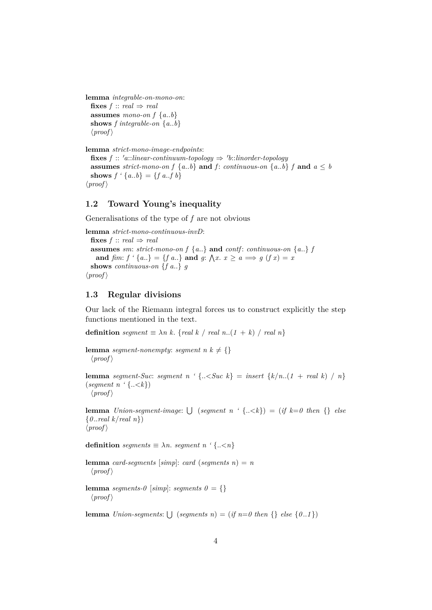```
lemma integrable-on-mono-on:
  fixes f :: real \Rightarrow real
  assumes mono-on f \{a,b\}shows f integrable-on {a..b}
  \langle proof \rangle
```

```
lemma strict-mono-image-endpoints:
  \textbf{fixes } f :: 'a::linear-continuum-topology \Rightarrow 'b::linorder-topologyassumes strict-mono-on f \{a..b\} and f: continuous-on \{a..b\} f and a \leq bshows f' \{a,b\} = \{f \mid a \neq b\}\langle proof \rangle
```
### <span id="page-3-0"></span>**1.2 Toward Young's inequality**

Generalisations of the type of *f* are not obvious

```
lemma strict-mono-continuous-invD:
  fixes f :: real \Rightarrow real
  assumes sm: strict-mono-on f\{a..\} and contf: continuous-on \{a..\} fand \lim_{x \to a} f' \{a_{n}\} = \{f \}. and g: \bigwedge x \cdot x \geq a \implies g(f \ x) = xshows continuous-on {f a..} g
\langle proof \rangle
```
#### <span id="page-3-1"></span>**1.3 Regular divisions**

Our lack of the Riemann integral forces us to construct explicitly the step functions mentioned in the text.

**definition** *segment*  $\equiv \lambda n \, k$ . {*real k* / *real n*..(*1* + *k*) / *real n*}

```
lemma segment-nonempty: segment n k \neq \{\}\langle proof \rangle
```
**lemma** *segment-Suc*: *segment*  $n \cdot \{-$ (*segment n '* {..<*k*})  $\langle proof \rangle$ 

**lemma** *Union-segment-image*:  $\bigcup$  (*segment n* '{ $\ldots \le k$ }) = (*if*  $k=0$  *then* {} *else* {*0* ..*real k*/*real n*})  $\langle proof \rangle$ 

**definition** *segments*  $\equiv \lambda n$ *. segment*  $n \in \{..\leq n\}$ 

**lemma** *card-segments* [ $simpl$ : *card* (*segments n*) = *n*  $\langle proof \rangle$ 

**lemma** *segments-0* [*simp*]: *segments 0* = {}  $\langle proof \rangle$ 

**lemma** *Union-segments*:  $\bigcup$  (*segments n*) = (*if n*=*0 then* {} *else* {0..1})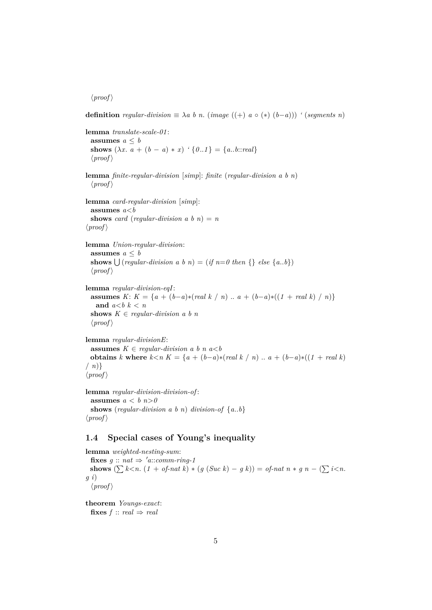$\langle proof \rangle$ 

**definition** *regular-division*  $\equiv \lambda a \ b \ n$ . (*image* ((+) *a* ◦ (\*) (*b*−*a*))) *'* (*segments n*)

```
lemma translate-scale-01 :
  assumes a < bshows (\lambda x \cdot \overline{a} + (b - a) * x) \land (0..1) = \{a..b::real\}\langle proof \ranglelemma finite-regular-division [simp]: finite (regular-division a b n)
  \langle proof \ranglelemma card-regular-division [simp]:
  assumes a<b
  shows card (regular-division a b n) = n
\langle proof \ranglelemma Union-regular-division:
  assumes a \leq bshows \bigcup (regular-division \, a \, b \, n) = (if \, n=0 \, then \, \{\} \, else \, \{a \, . \, b\})\langle proof \ranglelemma regular-division-eqI:
  assumes K: K = \{a + (b-a)*(real k / n) \dots a + (b-a)*( (1 + real k) / n)\}and a < b k < nshows K \in \text{regular-division } a \text{ } b \text{ } n\langle proof \ranglelemma regular-divisionE:
  assumes K \in \text{regular-division } a \text{ } b \text{ } n \text{ } a \leq bobtains k where k < n K = \{a + (b-a)*(real k / n) \dots a + (b-a)*( (1 + real k) \}\langle n \rangle\langle proof \rangle
```
**lemma** *regular-division-division-of* : **assumes**  $a < b$   $n > 0$ **shows** (*regular-division a b n*) *division-of*  $\{a,b\}$  $\langle proof \rangle$ 

## <span id="page-4-0"></span>**1.4 Special cases of Young's inequality**

**lemma** *weighted-nesting-sum*: **fixes**  $g :: nat \Rightarrow 'a::comm-ring-1$ **shows**  $(\sum k < n$ .  $(1 + of -nat k) * (g (Suc k) - g k)) = of -nat n * g n - (\sum i < n$ . *g i*)  $\langle proof \rangle$ 

**theorem** *Youngs-exact*: **fixes**  $f$  :: *real*  $\Rightarrow$  *real*